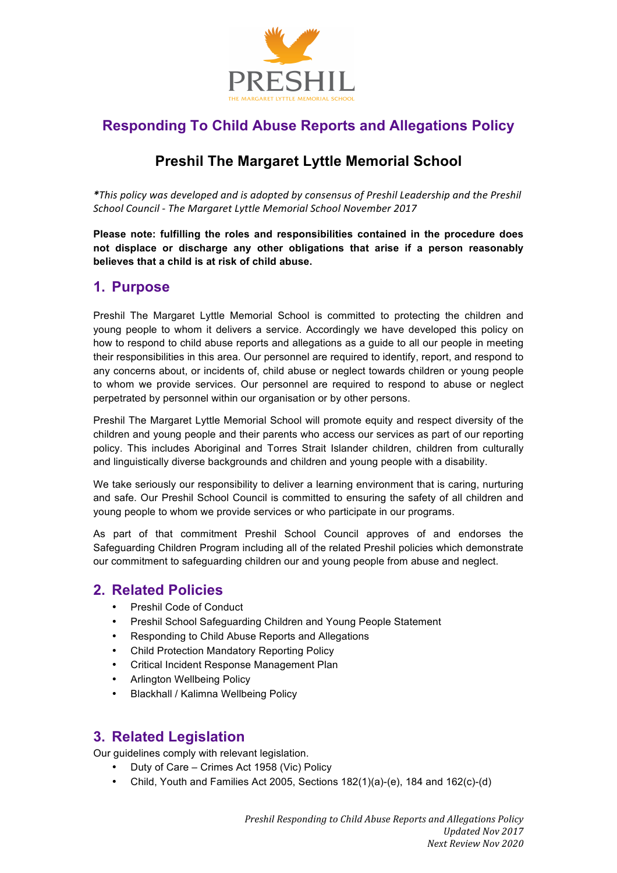

# **Responding To Child Abuse Reports and Allegations Policy**

# **Preshil The Margaret Lyttle Memorial School**

*\*This policy was developed and is adopted by consensus of Preshil Leadership and the Preshil*  School Council - The Margaret Lyttle Memorial School November 2017

**Please note: fulfilling the roles and responsibilities contained in the procedure does not displace or discharge any other obligations that arise if a person reasonably believes that a child is at risk of child abuse.**

#### **1. Purpose**

Preshil The Margaret Lyttle Memorial School is committed to protecting the children and young people to whom it delivers a service. Accordingly we have developed this policy on how to respond to child abuse reports and allegations as a guide to all our people in meeting their responsibilities in this area. Our personnel are required to identify, report, and respond to any concerns about, or incidents of, child abuse or neglect towards children or young people to whom we provide services. Our personnel are required to respond to abuse or neglect perpetrated by personnel within our organisation or by other persons.

Preshil The Margaret Lyttle Memorial School will promote equity and respect diversity of the children and young people and their parents who access our services as part of our reporting policy. This includes Aboriginal and Torres Strait Islander children, children from culturally and linguistically diverse backgrounds and children and young people with a disability.

We take seriously our responsibility to deliver a learning environment that is caring, nurturing and safe. Our Preshil School Council is committed to ensuring the safety of all children and young people to whom we provide services or who participate in our programs.

As part of that commitment Preshil School Council approves of and endorses the Safeguarding Children Program including all of the related Preshil policies which demonstrate our commitment to safeguarding children our and young people from abuse and neglect.

### **2. Related Policies**

- Preshil Code of Conduct
- Preshil School Safeguarding Children and Young People Statement
- Responding to Child Abuse Reports and Allegations
- Child Protection Mandatory Reporting Policy
- Critical Incident Response Management Plan
- Arlington Wellbeing Policy
- Blackhall / Kalimna Wellbeing Policy

### **3. Related Legislation**

Our guidelines comply with relevant legislation.

- Duty of Care Crimes Act 1958 (Vic) Policy
- Child, Youth and Families Act 2005, Sections 182(1)(a)-(e), 184 and 162(c)-(d)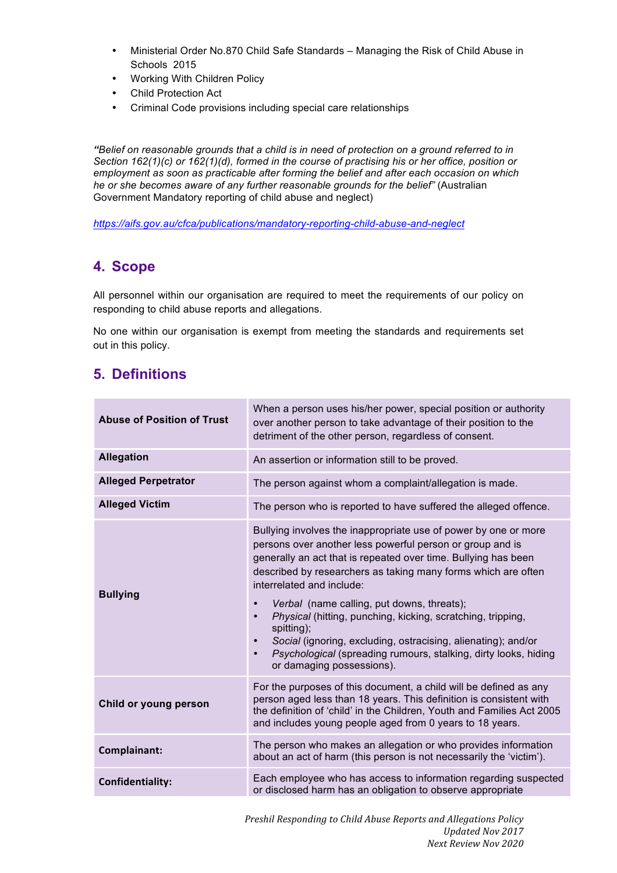- Ministerial Order No.870 Child Safe Standards Managing the Risk of Child Abuse in Schools 2015
- Working With Children Policy
- Child Protection Act
- Criminal Code provisions including special care relationships

*"Belief on reasonable grounds that a child is in need of protection on a ground referred to in Section 162(1)(c) or 162(1)(d), formed in the course of practising his or her office, position or employment as soon as practicable after forming the belief and after each occasion on which he or she becomes aware of any further reasonable grounds for the belief"* (Australian Government Mandatory reporting of child abuse and neglect)

*https://aifs.gov.au/cfca/publications/mandatory-reporting-child-abuse-and-neglect*

## **4. Scope**

All personnel within our organisation are required to meet the requirements of our policy on responding to child abuse reports and allegations.

No one within our organisation is exempt from meeting the standards and requirements set out in this policy.

## **5. Definitions**

| <b>Abuse of Position of Trust</b> | When a person uses his/her power, special position or authority<br>over another person to take advantage of their position to the<br>detriment of the other person, regardless of consent.                                                                                                                                                                                                                                                                                                                                                                                                                                                   |  |
|-----------------------------------|----------------------------------------------------------------------------------------------------------------------------------------------------------------------------------------------------------------------------------------------------------------------------------------------------------------------------------------------------------------------------------------------------------------------------------------------------------------------------------------------------------------------------------------------------------------------------------------------------------------------------------------------|--|
| <b>Allegation</b>                 | An assertion or information still to be proved.                                                                                                                                                                                                                                                                                                                                                                                                                                                                                                                                                                                              |  |
| <b>Alleged Perpetrator</b>        | The person against whom a complaint/allegation is made.                                                                                                                                                                                                                                                                                                                                                                                                                                                                                                                                                                                      |  |
| <b>Alleged Victim</b>             | The person who is reported to have suffered the alleged offence.                                                                                                                                                                                                                                                                                                                                                                                                                                                                                                                                                                             |  |
| <b>Bullying</b>                   | Bullying involves the inappropriate use of power by one or more<br>persons over another less powerful person or group and is<br>generally an act that is repeated over time. Bullying has been<br>described by researchers as taking many forms which are often<br>interrelated and include:<br>Verbal (name calling, put downs, threats);<br>$\bullet$<br>Physical (hitting, punching, kicking, scratching, tripping,<br>$\bullet$<br>spitting);<br>Social (ignoring, excluding, ostracising, alienating); and/or<br>$\bullet$<br>Psychological (spreading rumours, stalking, dirty looks, hiding<br>$\bullet$<br>or damaging possessions). |  |
| Child or young person             | For the purposes of this document, a child will be defined as any<br>person aged less than 18 years. This definition is consistent with<br>the definition of 'child' in the Children, Youth and Families Act 2005<br>and includes young people aged from 0 years to 18 years.                                                                                                                                                                                                                                                                                                                                                                |  |
| Complainant:                      | The person who makes an allegation or who provides information<br>about an act of harm (this person is not necessarily the 'victim').                                                                                                                                                                                                                                                                                                                                                                                                                                                                                                        |  |
| Confidentiality:                  | Each employee who has access to information regarding suspected<br>or disclosed harm has an obligation to observe appropriate                                                                                                                                                                                                                                                                                                                                                                                                                                                                                                                |  |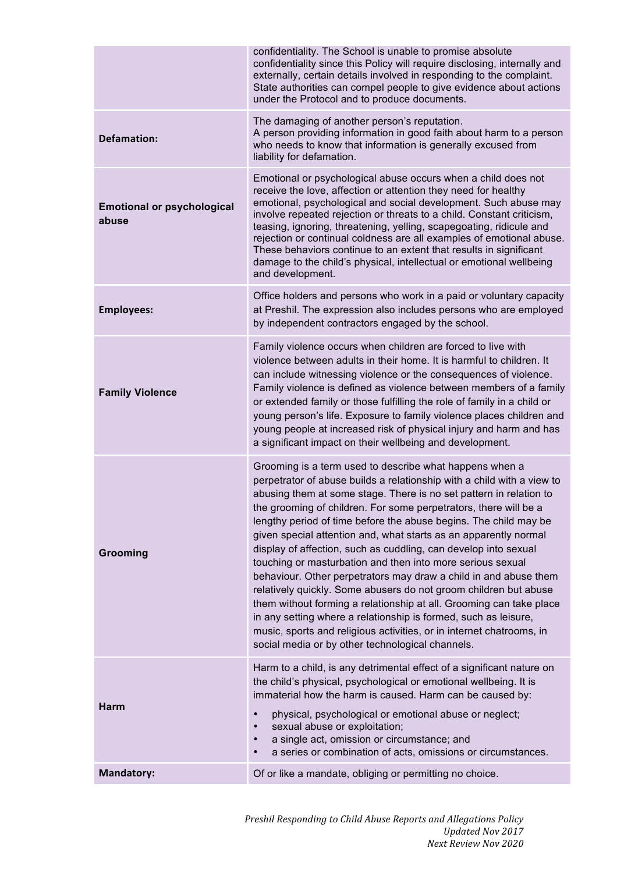|                                            | confidentiality. The School is unable to promise absolute<br>confidentiality since this Policy will require disclosing, internally and<br>externally, certain details involved in responding to the complaint.<br>State authorities can compel people to give evidence about actions<br>under the Protocol and to produce documents.                                                                                                                                                                                                                                                                                                                                                                                                                                                                                                                                                                                                                               |
|--------------------------------------------|--------------------------------------------------------------------------------------------------------------------------------------------------------------------------------------------------------------------------------------------------------------------------------------------------------------------------------------------------------------------------------------------------------------------------------------------------------------------------------------------------------------------------------------------------------------------------------------------------------------------------------------------------------------------------------------------------------------------------------------------------------------------------------------------------------------------------------------------------------------------------------------------------------------------------------------------------------------------|
| <b>Defamation:</b>                         | The damaging of another person's reputation.<br>A person providing information in good faith about harm to a person<br>who needs to know that information is generally excused from<br>liability for defamation.                                                                                                                                                                                                                                                                                                                                                                                                                                                                                                                                                                                                                                                                                                                                                   |
| <b>Emotional or psychological</b><br>abuse | Emotional or psychological abuse occurs when a child does not<br>receive the love, affection or attention they need for healthy<br>emotional, psychological and social development. Such abuse may<br>involve repeated rejection or threats to a child. Constant criticism,<br>teasing, ignoring, threatening, yelling, scapegoating, ridicule and<br>rejection or continual coldness are all examples of emotional abuse.<br>These behaviors continue to an extent that results in significant<br>damage to the child's physical, intellectual or emotional wellbeing<br>and development.                                                                                                                                                                                                                                                                                                                                                                         |
| <b>Employees:</b>                          | Office holders and persons who work in a paid or voluntary capacity<br>at Preshil. The expression also includes persons who are employed<br>by independent contractors engaged by the school.                                                                                                                                                                                                                                                                                                                                                                                                                                                                                                                                                                                                                                                                                                                                                                      |
| <b>Family Violence</b>                     | Family violence occurs when children are forced to live with<br>violence between adults in their home. It is harmful to children. It<br>can include witnessing violence or the consequences of violence.<br>Family violence is defined as violence between members of a family<br>or extended family or those fulfilling the role of family in a child or<br>young person's life. Exposure to family violence places children and<br>young people at increased risk of physical injury and harm and has<br>a significant impact on their wellbeing and development.                                                                                                                                                                                                                                                                                                                                                                                                |
| Grooming                                   | Grooming is a term used to describe what happens when a<br>perpetrator of abuse builds a relationship with a child with a view to<br>abusing them at some stage. There is no set pattern in relation to<br>the grooming of children. For some perpetrators, there will be a<br>lengthy period of time before the abuse begins. The child may be<br>given special attention and, what starts as an apparently normal<br>display of affection, such as cuddling, can develop into sexual<br>touching or masturbation and then into more serious sexual<br>behaviour. Other perpetrators may draw a child in and abuse them<br>relatively quickly. Some abusers do not groom children but abuse<br>them without forming a relationship at all. Grooming can take place<br>in any setting where a relationship is formed, such as leisure,<br>music, sports and religious activities, or in internet chatrooms, in<br>social media or by other technological channels. |
| <b>Harm</b>                                | Harm to a child, is any detrimental effect of a significant nature on<br>the child's physical, psychological or emotional wellbeing. It is<br>immaterial how the harm is caused. Harm can be caused by:<br>physical, psychological or emotional abuse or neglect;<br>$\bullet$<br>sexual abuse or exploitation;<br>$\bullet$<br>a single act, omission or circumstance; and                                                                                                                                                                                                                                                                                                                                                                                                                                                                                                                                                                                        |
|                                            | a series or combination of acts, omissions or circumstances.                                                                                                                                                                                                                                                                                                                                                                                                                                                                                                                                                                                                                                                                                                                                                                                                                                                                                                       |
| <b>Mandatory:</b>                          | Of or like a mandate, obliging or permitting no choice.                                                                                                                                                                                                                                                                                                                                                                                                                                                                                                                                                                                                                                                                                                                                                                                                                                                                                                            |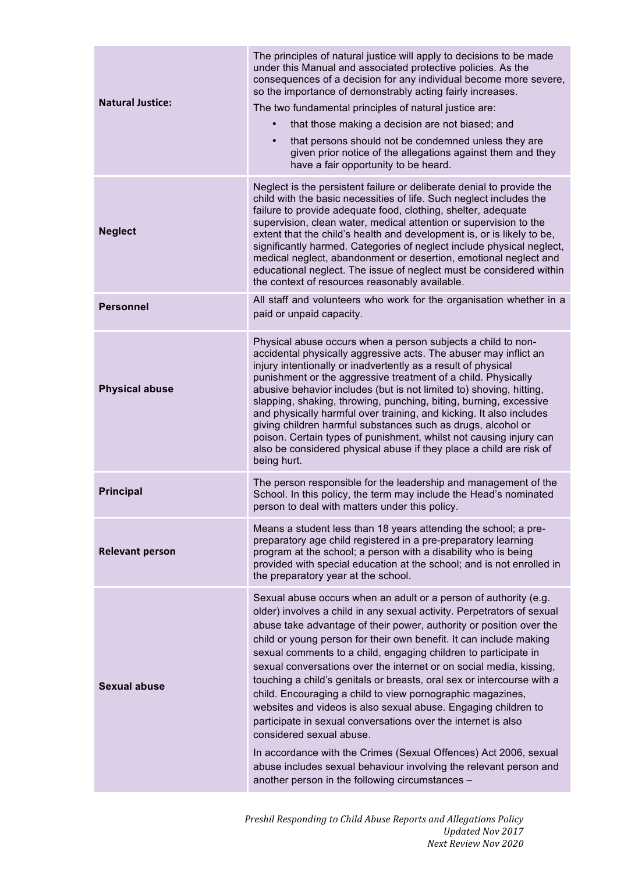| The principles of natural justice will apply to decisions to be made<br>under this Manual and associated protective policies. As the<br>consequences of a decision for any individual become more severe,<br>so the importance of demonstrably acting fairly increases.<br>The two fundamental principles of natural justice are:<br>that those making a decision are not biased; and<br>that persons should not be condemned unless they are<br>$\bullet$<br>given prior notice of the allegations against them and they<br>have a fair opportunity to be heard.                                                                                                                                                                                                                                                                                                                                                                    |
|--------------------------------------------------------------------------------------------------------------------------------------------------------------------------------------------------------------------------------------------------------------------------------------------------------------------------------------------------------------------------------------------------------------------------------------------------------------------------------------------------------------------------------------------------------------------------------------------------------------------------------------------------------------------------------------------------------------------------------------------------------------------------------------------------------------------------------------------------------------------------------------------------------------------------------------|
| Neglect is the persistent failure or deliberate denial to provide the<br>child with the basic necessities of life. Such neglect includes the<br>failure to provide adequate food, clothing, shelter, adequate<br>supervision, clean water, medical attention or supervision to the<br>extent that the child's health and development is, or is likely to be,<br>significantly harmed. Categories of neglect include physical neglect,<br>medical neglect, abandonment or desertion, emotional neglect and<br>educational neglect. The issue of neglect must be considered within<br>the context of resources reasonably available.                                                                                                                                                                                                                                                                                                   |
| All staff and volunteers who work for the organisation whether in a<br>paid or unpaid capacity.                                                                                                                                                                                                                                                                                                                                                                                                                                                                                                                                                                                                                                                                                                                                                                                                                                      |
| Physical abuse occurs when a person subjects a child to non-<br>accidental physically aggressive acts. The abuser may inflict an<br>injury intentionally or inadvertently as a result of physical<br>punishment or the aggressive treatment of a child. Physically<br>abusive behavior includes (but is not limited to) shoving, hitting,<br>slapping, shaking, throwing, punching, biting, burning, excessive<br>and physically harmful over training, and kicking. It also includes<br>giving children harmful substances such as drugs, alcohol or<br>poison. Certain types of punishment, whilst not causing injury can<br>also be considered physical abuse if they place a child are risk of<br>being hurt.                                                                                                                                                                                                                    |
| The person responsible for the leadership and management of the<br>School. In this policy, the term may include the Head's nominated<br>person to deal with matters under this policy.                                                                                                                                                                                                                                                                                                                                                                                                                                                                                                                                                                                                                                                                                                                                               |
| Means a student less than 18 years attending the school; a pre-<br>preparatory age child registered in a pre-preparatory learning<br>program at the school; a person with a disability who is being<br>provided with special education at the school; and is not enrolled in<br>the preparatory year at the school.                                                                                                                                                                                                                                                                                                                                                                                                                                                                                                                                                                                                                  |
| Sexual abuse occurs when an adult or a person of authority (e.g.<br>older) involves a child in any sexual activity. Perpetrators of sexual<br>abuse take advantage of their power, authority or position over the<br>child or young person for their own benefit. It can include making<br>sexual comments to a child, engaging children to participate in<br>sexual conversations over the internet or on social media, kissing,<br>touching a child's genitals or breasts, oral sex or intercourse with a<br>child. Encouraging a child to view pornographic magazines,<br>websites and videos is also sexual abuse. Engaging children to<br>participate in sexual conversations over the internet is also<br>considered sexual abuse.<br>In accordance with the Crimes (Sexual Offences) Act 2006, sexual<br>abuse includes sexual behaviour involving the relevant person and<br>another person in the following circumstances - |
|                                                                                                                                                                                                                                                                                                                                                                                                                                                                                                                                                                                                                                                                                                                                                                                                                                                                                                                                      |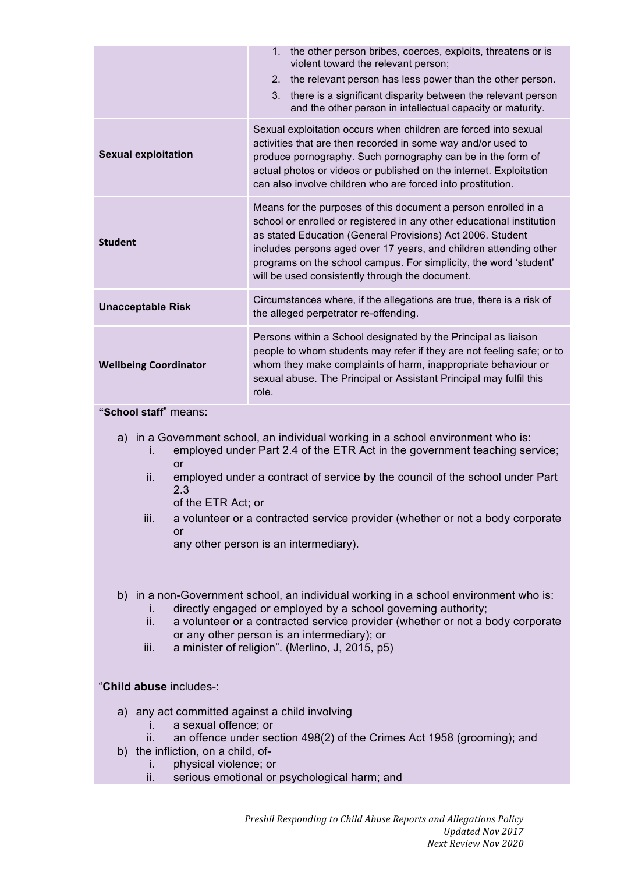|                               | the other person bribes, coerces, exploits, threatens or is<br>$1_{\cdot}$<br>violent toward the relevant person;<br>the relevant person has less power than the other person.<br>2 <sub>1</sub><br>3.<br>there is a significant disparity between the relevant person<br>and the other person in intellectual capacity or maturity.                                                               |  |
|-------------------------------|----------------------------------------------------------------------------------------------------------------------------------------------------------------------------------------------------------------------------------------------------------------------------------------------------------------------------------------------------------------------------------------------------|--|
| <b>Sexual exploitation</b>    | Sexual exploitation occurs when children are forced into sexual<br>activities that are then recorded in some way and/or used to<br>produce pornography. Such pornography can be in the form of<br>actual photos or videos or published on the internet. Exploitation<br>can also involve children who are forced into prostitution.                                                                |  |
| <b>Student</b>                | Means for the purposes of this document a person enrolled in a<br>school or enrolled or registered in any other educational institution<br>as stated Education (General Provisions) Act 2006. Student<br>includes persons aged over 17 years, and children attending other<br>programs on the school campus. For simplicity, the word 'student'<br>will be used consistently through the document. |  |
| <b>Unacceptable Risk</b>      | Circumstances where, if the allegations are true, there is a risk of<br>the alleged perpetrator re-offending.                                                                                                                                                                                                                                                                                      |  |
| <b>Wellbeing Coordinator</b>  | Persons within a School designated by the Principal as liaison<br>people to whom students may refer if they are not feeling safe; or to<br>whom they make complaints of harm, inappropriate behaviour or<br>sexual abuse. The Principal or Assistant Principal may fulfil this<br>role.                                                                                                            |  |
| $\mathbf{u} \cdot \mathbf{v}$ |                                                                                                                                                                                                                                                                                                                                                                                                    |  |

**"School staff**" means:

- a) in a Government school, an individual working in a school environment who is: i. employed under Part 2.4 of the ETR Act in the government teaching service;
	- or
	- ii. employed under a contract of service by the council of the school under Part 2.3
		- of the ETR Act; or
	- iii. a volunteer or a contracted service provider (whether or not a body corporate or

any other person is an intermediary).

- b) in a non-Government school, an individual working in a school environment who is:
	- i. directly engaged or employed by a school governing authority;
	- ii. a volunteer or a contracted service provider (whether or not a body corporate or any other person is an intermediary); or
	- iii. a minister of religion". (Merlino, J, 2015, p5)

#### "**Child abuse** includes-:

- a) any act committed against a child involving
	- i. a sexual offence; or
	- ii. an offence under section 498(2) of the Crimes Act 1958 (grooming); and
- b) the infliction, on a child, of
	- i. physical violence; or
	- ii. serious emotional or psychological harm; and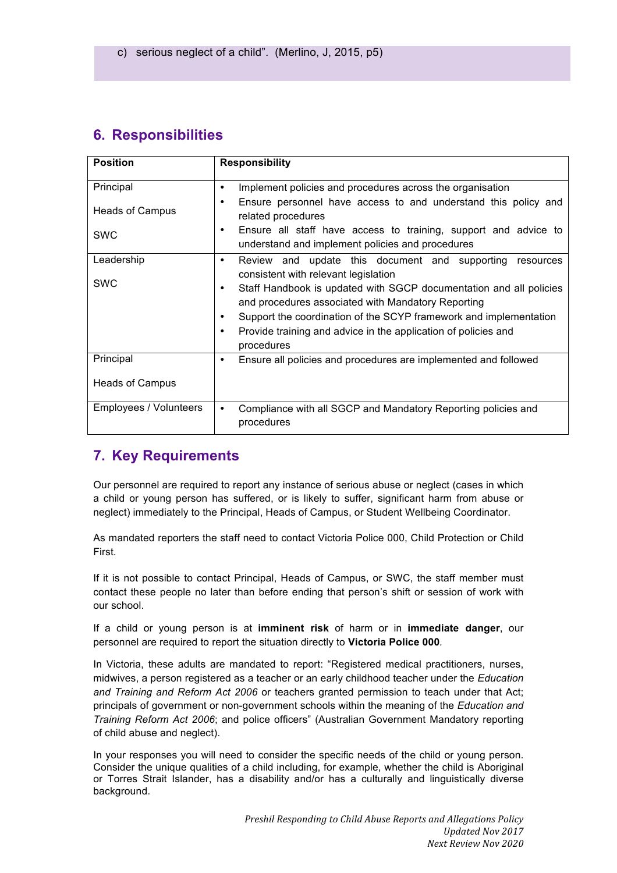## **6. Responsibilities**

| <b>Position</b>        | <b>Responsibility</b>                                                                                                                                                                                                                                                                                                      |
|------------------------|----------------------------------------------------------------------------------------------------------------------------------------------------------------------------------------------------------------------------------------------------------------------------------------------------------------------------|
| Principal              | Implement policies and procedures across the organisation<br>٠                                                                                                                                                                                                                                                             |
| Heads of Campus        | Ensure personnel have access to and understand this policy and<br>٠<br>related procedures                                                                                                                                                                                                                                  |
| <b>SWC</b>             | Ensure all staff have access to training, support and advice to<br>٠<br>understand and implement policies and procedures                                                                                                                                                                                                   |
| Leadership             | Review and update this document and supporting<br>resources<br>٠                                                                                                                                                                                                                                                           |
| <b>SWC</b>             | consistent with relevant legislation<br>Staff Handbook is updated with SGCP documentation and all policies<br>and procedures associated with Mandatory Reporting<br>Support the coordination of the SCYP framework and implementation<br>Provide training and advice in the application of policies and<br>٠<br>procedures |
| Principal              | Ensure all policies and procedures are implemented and followed<br>٠                                                                                                                                                                                                                                                       |
| Heads of Campus        |                                                                                                                                                                                                                                                                                                                            |
| Employees / Volunteers | Compliance with all SGCP and Mandatory Reporting policies and<br>$\bullet$<br>procedures                                                                                                                                                                                                                                   |

### **7. Key Requirements**

Our personnel are required to report any instance of serious abuse or neglect (cases in which a child or young person has suffered, or is likely to suffer, significant harm from abuse or neglect) immediately to the Principal, Heads of Campus, or Student Wellbeing Coordinator.

As mandated reporters the staff need to contact Victoria Police 000, Child Protection or Child First.

If it is not possible to contact Principal, Heads of Campus, or SWC, the staff member must contact these people no later than before ending that person's shift or session of work with our school.

If a child or young person is at **imminent risk** of harm or in **immediate danger**, our personnel are required to report the situation directly to **Victoria Police 000***.*

In Victoria, these adults are mandated to report: "Registered medical practitioners, nurses, midwives, a person registered as a teacher or an early childhood teacher under the *Education and Training and Reform Act 2006* or teachers granted permission to teach under that Act; principals of government or non-government schools within the meaning of the *Education and Training Reform Act 2006*; and police officers" (Australian Government Mandatory reporting of child abuse and neglect).

In your responses you will need to consider the specific needs of the child or young person. Consider the unique qualities of a child including, for example, whether the child is Aboriginal or Torres Strait Islander, has a disability and/or has a culturally and linguistically diverse background.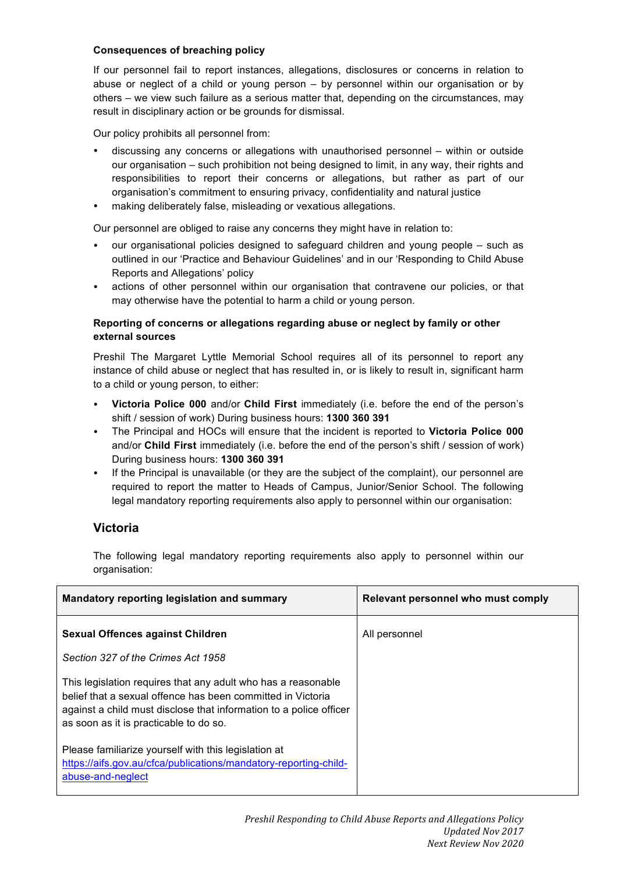#### **Consequences of breaching policy**

If our personnel fail to report instances, allegations, disclosures or concerns in relation to abuse or neglect of a child or young person – by personnel within our organisation or by others – we view such failure as a serious matter that, depending on the circumstances, may result in disciplinary action or be grounds for dismissal.

Our policy prohibits all personnel from:

- discussing any concerns or allegations with unauthorised personnel within or outside our organisation – such prohibition not being designed to limit, in any way, their rights and responsibilities to report their concerns or allegations, but rather as part of our organisation's commitment to ensuring privacy, confidentiality and natural justice
- making deliberately false, misleading or vexatious allegations.

Our personnel are obliged to raise any concerns they might have in relation to:

- our organisational policies designed to safeguard children and young people such as outlined in our 'Practice and Behaviour Guidelines' and in our 'Responding to Child Abuse Reports and Allegations' policy
- actions of other personnel within our organisation that contravene our policies, or that may otherwise have the potential to harm a child or young person.

#### **Reporting of concerns or allegations regarding abuse or neglect by family or other external sources**

Preshil The Margaret Lyttle Memorial School requires all of its personnel to report any instance of child abuse or neglect that has resulted in, or is likely to result in, significant harm to a child or young person, to either:

- **Victoria Police 000** and/or **Child First** immediately (i.e. before the end of the person's shift / session of work) During business hours: **1300 360 391**
- The Principal and HOCs will ensure that the incident is reported to **Victoria Police 000** and/or **Child First** immediately (i.e. before the end of the person's shift / session of work) During business hours: **1300 360 391**
- If the Principal is unavailable (or they are the subject of the complaint), our personnel are required to report the matter to Heads of Campus, Junior/Senior School. The following legal mandatory reporting requirements also apply to personnel within our organisation:

#### **Victoria**

The following legal mandatory reporting requirements also apply to personnel within our organisation:

| Mandatory reporting legislation and summary                                                                                                                                                                                                  | Relevant personnel who must comply |
|----------------------------------------------------------------------------------------------------------------------------------------------------------------------------------------------------------------------------------------------|------------------------------------|
| <b>Sexual Offences against Children</b>                                                                                                                                                                                                      | All personnel                      |
| Section 327 of the Crimes Act 1958                                                                                                                                                                                                           |                                    |
| This legislation requires that any adult who has a reasonable<br>belief that a sexual offence has been committed in Victoria<br>against a child must disclose that information to a police officer<br>as soon as it is practicable to do so. |                                    |
| Please familiarize yourself with this legislation at<br>https://aifs.gov.au/cfca/publications/mandatory-reporting-child-<br>abuse-and-neglect                                                                                                |                                    |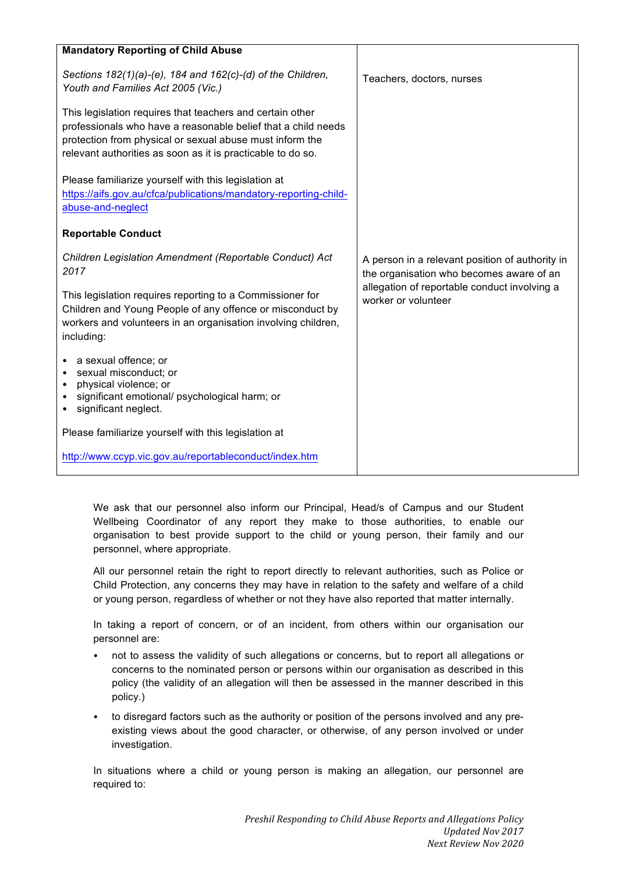| <b>Mandatory Reporting of Child Abuse</b>                                                                                                                                                                                                             |                                                                                             |
|-------------------------------------------------------------------------------------------------------------------------------------------------------------------------------------------------------------------------------------------------------|---------------------------------------------------------------------------------------------|
| Sections $182(1)(a)-(e)$ , 184 and $162(c)-(d)$ of the Children,<br>Youth and Families Act 2005 (Vic.)                                                                                                                                                | Teachers, doctors, nurses                                                                   |
| This legislation requires that teachers and certain other<br>professionals who have a reasonable belief that a child needs<br>protection from physical or sexual abuse must inform the<br>relevant authorities as soon as it is practicable to do so. |                                                                                             |
| Please familiarize yourself with this legislation at<br>https://aifs.gov.au/cfca/publications/mandatory-reporting-child-<br>abuse-and-neglect                                                                                                         |                                                                                             |
| <b>Reportable Conduct</b>                                                                                                                                                                                                                             |                                                                                             |
| Children Legislation Amendment (Reportable Conduct) Act<br>2017                                                                                                                                                                                       | A person in a relevant position of authority in<br>the organisation who becomes aware of an |
| This legislation requires reporting to a Commissioner for<br>Children and Young People of any offence or misconduct by<br>workers and volunteers in an organisation involving children,<br>including:                                                 | allegation of reportable conduct involving a<br>worker or volunteer                         |
| a sexual offence; or<br>sexual misconduct; or<br>physical violence; or<br>$\bullet$<br>significant emotional/ psychological harm; or<br>significant neglect.                                                                                          |                                                                                             |
| Please familiarize yourself with this legislation at                                                                                                                                                                                                  |                                                                                             |
| http://www.ccyp.vic.gov.au/reportableconduct/index.htm                                                                                                                                                                                                |                                                                                             |

We ask that our personnel also inform our Principal, Head/s of Campus and our Student Wellbeing Coordinator of any report they make to those authorities, to enable our organisation to best provide support to the child or young person, their family and our personnel, where appropriate.

All our personnel retain the right to report directly to relevant authorities, such as Police or Child Protection, any concerns they may have in relation to the safety and welfare of a child or young person, regardless of whether or not they have also reported that matter internally.

In taking a report of concern, or of an incident, from others within our organisation our personnel are:

- not to assess the validity of such allegations or concerns, but to report all allegations or concerns to the nominated person or persons within our organisation as described in this policy (the validity of an allegation will then be assessed in the manner described in this policy.)
- to disregard factors such as the authority or position of the persons involved and any preexisting views about the good character, or otherwise, of any person involved or under investigation.

In situations where a child or young person is making an allegation, our personnel are required to: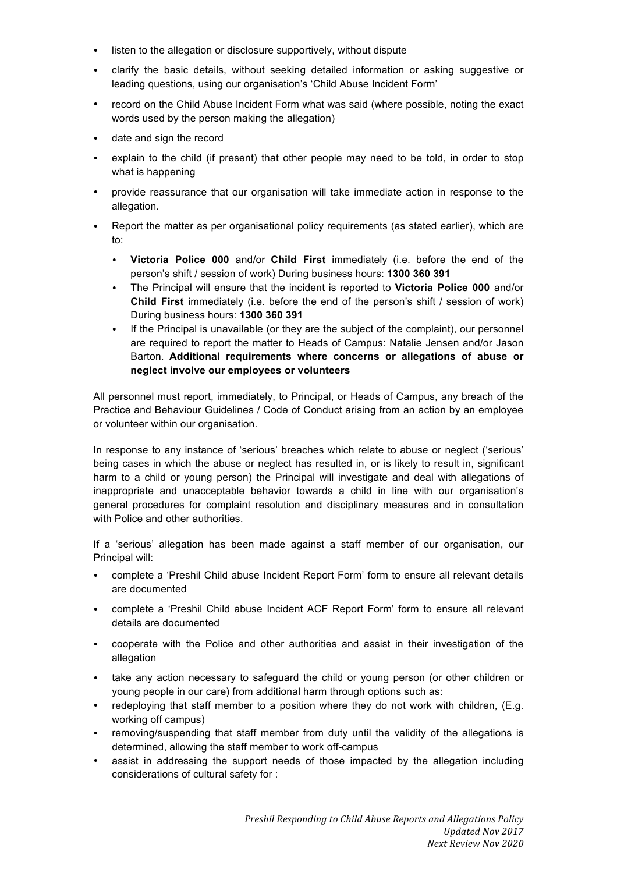- listen to the allegation or disclosure supportively, without dispute
- clarify the basic details, without seeking detailed information or asking suggestive or leading questions, using our organisation's 'Child Abuse Incident Form'
- record on the Child Abuse Incident Form what was said (where possible, noting the exact words used by the person making the allegation)
- date and sign the record
- explain to the child (if present) that other people may need to be told, in order to stop what is happening
- provide reassurance that our organisation will take immediate action in response to the allegation.
- Report the matter as per organisational policy requirements (as stated earlier), which are to:
	- **Victoria Police 000** and/or **Child First** immediately (i.e. before the end of the person's shift / session of work) During business hours: **1300 360 391**
	- The Principal will ensure that the incident is reported to **Victoria Police 000** and/or **Child First** immediately (i.e. before the end of the person's shift / session of work) During business hours: **1300 360 391**
	- If the Principal is unavailable (or they are the subject of the complaint), our personnel are required to report the matter to Heads of Campus: Natalie Jensen and/or Jason Barton. **Additional requirements where concerns or allegations of abuse or neglect involve our employees or volunteers**

All personnel must report, immediately, to Principal, or Heads of Campus, any breach of the Practice and Behaviour Guidelines / Code of Conduct arising from an action by an employee or volunteer within our organisation.

In response to any instance of 'serious' breaches which relate to abuse or neglect ('serious' being cases in which the abuse or neglect has resulted in, or is likely to result in, significant harm to a child or young person) the Principal will investigate and deal with allegations of inappropriate and unacceptable behavior towards a child in line with our organisation's general procedures for complaint resolution and disciplinary measures and in consultation with Police and other authorities.

If a 'serious' allegation has been made against a staff member of our organisation, our Principal will:

- complete a 'Preshil Child abuse Incident Report Form' form to ensure all relevant details are documented
- complete a 'Preshil Child abuse Incident ACF Report Form' form to ensure all relevant details are documented
- cooperate with the Police and other authorities and assist in their investigation of the allegation
- take any action necessary to safeguard the child or young person (or other children or young people in our care) from additional harm through options such as:
- redeploying that staff member to a position where they do not work with children, (E.g. working off campus)
- removing/suspending that staff member from duty until the validity of the allegations is determined, allowing the staff member to work off-campus
- assist in addressing the support needs of those impacted by the allegation including considerations of cultural safety for :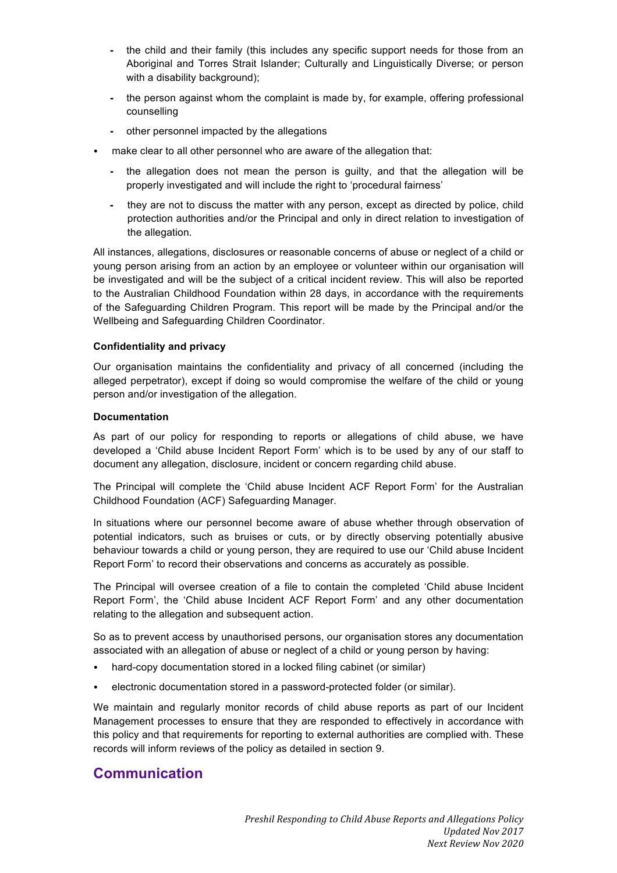- **-** the child and their family (this includes any specific support needs for those from an Aboriginal and Torres Strait Islander; Culturally and Linguistically Diverse; or person with a disability background);
- **-** the person against whom the complaint is made by, for example, offering professional counselling
- **-** other personnel impacted by the allegations
- make clear to all other personnel who are aware of the allegation that:
	- **-** the allegation does not mean the person is guilty, and that the allegation will be properly investigated and will include the right to 'procedural fairness'
	- **-** they are not to discuss the matter with any person, except as directed by police, child protection authorities and/or the Principal and only in direct relation to investigation of the allegation.

All instances, allegations, disclosures or reasonable concerns of abuse or neglect of a child or young person arising from an action by an employee or volunteer within our organisation will be investigated and will be the subject of a critical incident review. This will also be reported to the Australian Childhood Foundation within 28 days, in accordance with the requirements of the Safeguarding Children Program. This report will be made by the Principal and/or the Wellbeing and Safeguarding Children Coordinator.

#### **Confidentiality and privacy**

Our organisation maintains the confidentiality and privacy of all concerned (including the alleged perpetrator), except if doing so would compromise the welfare of the child or young person and/or investigation of the allegation.

#### **Documentation**

As part of our policy for responding to reports or allegations of child abuse, we have developed a 'Child abuse Incident Report Form' which is to be used by any of our staff to document any allegation, disclosure, incident or concern regarding child abuse.

The Principal will complete the 'Child abuse Incident ACF Report Form' for the Australian Childhood Foundation (ACF) Safeguarding Manager.

In situations where our personnel become aware of abuse whether through observation of potential indicators, such as bruises or cuts, or by directly observing potentially abusive behaviour towards a child or young person, they are required to use our 'Child abuse Incident Report Form' to record their observations and concerns as accurately as possible.

The Principal will oversee creation of a file to contain the completed 'Child abuse Incident Report Form', the 'Child abuse Incident ACF Report Form' and any other documentation relating to the allegation and subsequent action.

So as to prevent access by unauthorised persons, our organisation stores any documentation associated with an allegation of abuse or neglect of a child or young person by having:

- hard-copy documentation stored in a locked filing cabinet (or similar)
- electronic documentation stored in a password-protected folder (or similar).

We maintain and regularly monitor records of child abuse reports as part of our Incident Management processes to ensure that they are responded to effectively in accordance with this policy and that requirements for reporting to external authorities are complied with. These records will inform reviews of the policy as detailed in section 9.

#### **Communication**